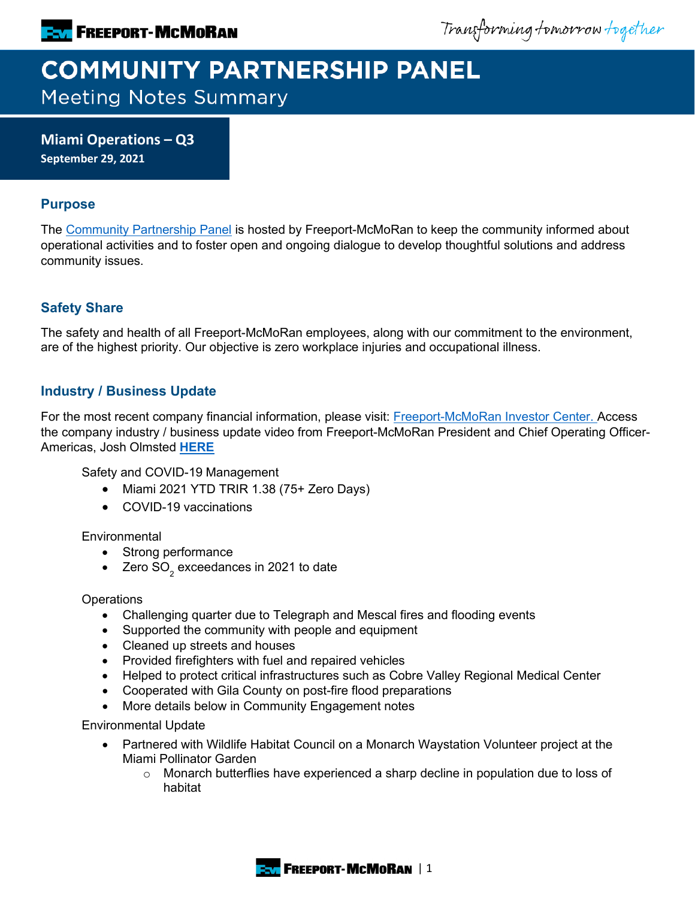Transforming tomorrow together

# **COMMUNITY PARTNERSHIP PANEL Meeting Notes Summary**

**Miami Operations – Q3 September 29, 2021**

# **Purpose**

The [Community Partnership Panel](https://www.freeportinmycommunity.com/stakeholders/stakeholder-engagement-) is hosted by Freeport-McMoRan to keep the community informed about operational activities and to foster open and ongoing dialogue to develop thoughtful solutions and address community issues.

# **Safety Share**

The safety and health of all Freeport-McMoRan employees, along with our commitment to the environment, are of the highest priority. Our objective is zero workplace injuries and occupational illness.

## **Industry / Business Update**

For the most recent company financial information, please visit: [Freeport-McMoRan Investor Center.](http://investors.fcx.com/investors/default.aspx) Access the company industry / business update video from Freeport-McMoRan President and Chief Operating Officer-Americas, Josh Olmsted **[HERE](https://fmi.hosted.panopto.com/Panopto/Pages/Viewer.aspx?id=1db79e82-512e-46a0-87fa-ad7b01320113)**

Safety and COVID-19 Management

- Miami 2021 YTD TRIR 1.38 (75+ Zero Days)
- COVID-19 vaccinations

#### **Environmental**

- Strong performance
- Zero  $SO<sub>2</sub>$  exceedances in 2021 to date

**Operations** 

- Challenging quarter due to Telegraph and Mescal fires and flooding events
- Supported the community with people and equipment
- Cleaned up streets and houses
- Provided firefighters with fuel and repaired vehicles
- Helped to protect critical infrastructures such as Cobre Valley Regional Medical Center
- Cooperated with Gila County on post-fire flood preparations
- More details below in Community Engagement notes

Environmental Update

- Partnered with Wildlife Habitat Council on a Monarch Waystation Volunteer project at the Miami Pollinator Garden
	- o Monarch butterflies have experienced a sharp decline in population due to loss of habitat

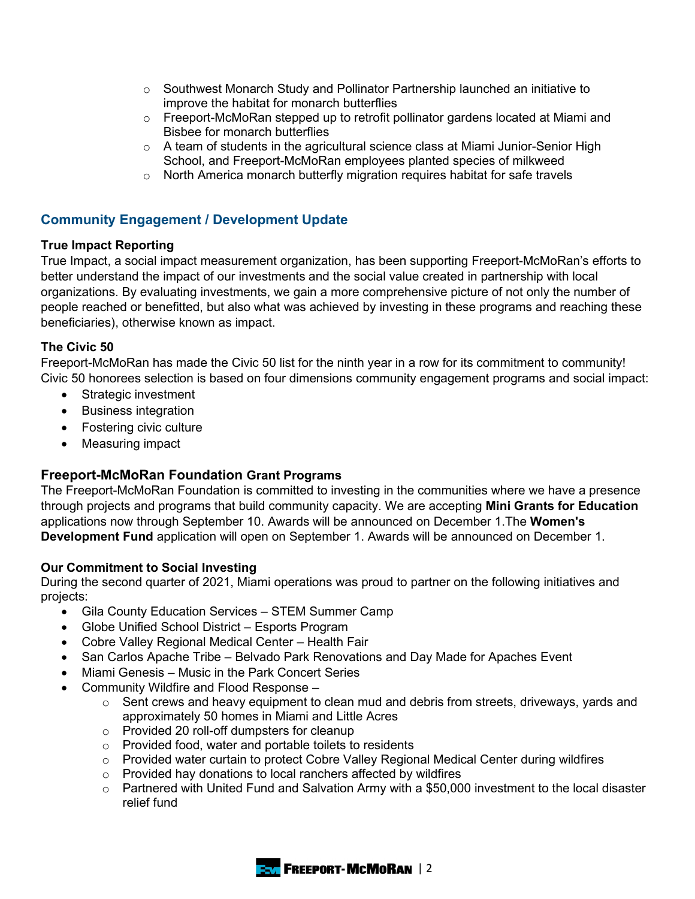- $\circ$  Southwest Monarch Study and Pollinator Partnership launched an initiative to improve the habitat for monarch butterflies
- $\circ$  Freeport-McMoRan stepped up to retrofit pollinator gardens located at Miami and Bisbee for monarch butterflies
- $\circ$  A team of students in the agricultural science class at Miami Junior-Senior High School, and Freeport-McMoRan employees planted species of milkweed
- o North America monarch butterfly migration requires habitat for safe travels

# **Community Engagement / Development Update**

#### **True Impact Reporting**

True Impact, a social impact measurement organization, has been supporting Freeport-McMoRan's efforts to better understand the impact of our investments and the social value created in partnership with local organizations. By evaluating investments, we gain a more comprehensive picture of not only the number of people reached or benefitted, but also what was achieved by investing in these programs and reaching these beneficiaries), otherwise known as impact.

#### **The Civic 50**

Freeport-McMoRan has made the Civic 50 list for the ninth year in a row for its commitment to community! Civic 50 honorees selection is based on four dimensions community engagement programs and social impact:

- Strategic investment
- Business integration
- Fostering civic culture
- Measuring impact

# **Freeport-McMoRan Foundation Grant Programs**

The Freeport-McMoRan Foundation is committed to investing in the communities where we have a presence through projects and programs that build community capacity. We are accepting **Mini Grants for Education** applications now through September 10. Awards will be announced on December 1.The **Women's Development Fund** application will open on September 1. Awards will be announced on December 1.

#### **Our Commitment to Social Investing**

During the second quarter of 2021, Miami operations was proud to partner on the following initiatives and projects:

- Gila County Education Services STEM Summer Camp
- Globe Unified School District Esports Program
- Cobre Valley Regional Medical Center Health Fair
- San Carlos Apache Tribe Belvado Park Renovations and Day Made for Apaches Event
- Miami Genesis Music in the Park Concert Series
- Community Wildfire and Flood Response
	- $\circ$  Sent crews and heavy equipment to clean mud and debris from streets, driveways, yards and approximately 50 homes in Miami and Little Acres
	- o Provided 20 roll-off dumpsters for cleanup
	- o Provided food, water and portable toilets to residents
	- $\circ$  Provided water curtain to protect Cobre Valley Regional Medical Center during wildfires
	- o Provided hay donations to local ranchers affected by wildfires
	- $\circ$  Partnered with United Fund and Salvation Army with a \$50,000 investment to the local disaster relief fund